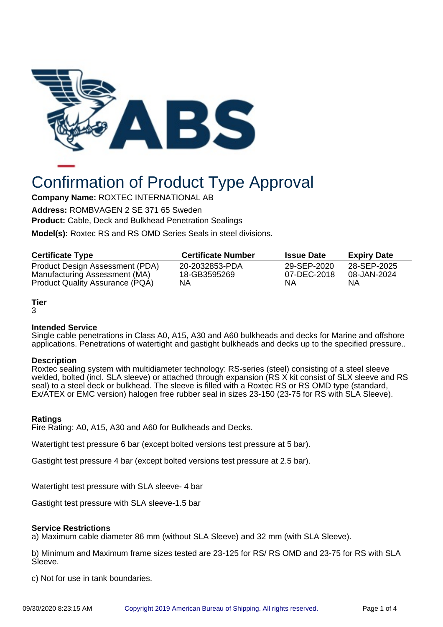

# Confirmation of Product Type Approval

**Company Name:** ROXTEC INTERNATIONAL AB

**Address:** ROMBVAGEN 2 SE 371 65 Sweden

**Product:** Cable, Deck and Bulkhead Penetration Sealings

**Model(s):** Roxtec RS and RS OMD Series Seals in steel divisions.

| <b>Certificate Type</b>                | <b>Certificate Number</b> | <b>Issue Date</b> | <b>Expiry Date</b> |
|----------------------------------------|---------------------------|-------------------|--------------------|
| Product Design Assessment (PDA)        | 20-2032853-PDA            | 29-SEP-2020       | 28-SEP-2025        |
| Manufacturing Assessment (MA)          | 18-GB3595269              | 07-DEC-2018       | 08-JAN-2024        |
| <b>Product Quality Assurance (PQA)</b> | NΑ                        | ΝA                | ΝA                 |

# **Tier**

#### 3

## **Intended Service**

Single cable penetrations in Class A0, A15, A30 and A60 bulkheads and decks for Marine and offshore applications. Penetrations of watertight and gastight bulkheads and decks up to the specified pressure..

#### **Description**

Roxtec sealing system with multidiameter technology: RS-series (steel) consisting of a steel sleeve welded, bolted (incl. SLA sleeve) or attached through expansion (RS X kit consist of SLX sleeve and RS seal) to a steel deck or bulkhead. The sleeve is filled with a Roxtec RS or RS OMD type (standard, Ex/ATEX or EMC version) halogen free rubber seal in sizes 23-150 (23-75 for RS with SLA Sleeve).

## **Ratings**

Fire Rating: A0, A15, A30 and A60 for Bulkheads and Decks.

Watertight test pressure 6 bar (except bolted versions test pressure at 5 bar).

Gastight test pressure 4 bar (except bolted versions test pressure at 2.5 bar).

Watertight test pressure with SLA sleeve- 4 bar

Gastight test pressure with SLA sleeve-1.5 bar

#### **Service Restrictions**

a) Maximum cable diameter 86 mm (without SLA Sleeve) and 32 mm (with SLA Sleeve).

b) Minimum and Maximum frame sizes tested are 23-125 for RS/ RS OMD and 23-75 for RS with SLA Sleeve.

c) Not for use in tank boundaries.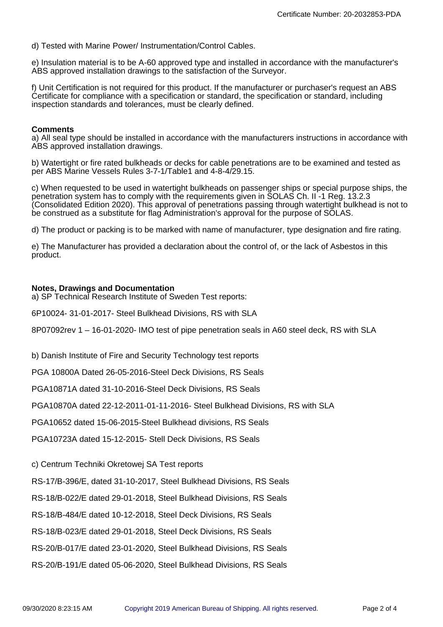d) Tested with Marine Power/ Instrumentation/Control Cables.

e) Insulation material is to be A-60 approved type and installed in accordance with the manufacturer's ABS approved installation drawings to the satisfaction of the Surveyor.

f) Unit Certification is not required for this product. If the manufacturer or purchaser's request an ABS Certificate for compliance with a specification or standard, the specification or standard, including inspection standards and tolerances, must be clearly defined.

#### **Comments**

a) All seal type should be installed in accordance with the manufacturers instructions in accordance with ABS approved installation drawings.

b) Watertight or fire rated bulkheads or decks for cable penetrations are to be examined and tested as per ABS Marine Vessels Rules 3-7-1/Table1 and 4-8-4/29.15.

c) When requested to be used in watertight bulkheads on passenger ships or special purpose ships, the penetration system has to comply with the requirements given in SOLAS Ch. II -1 Reg. 13.2.3 (Consolidated Edition 2020). This approval of penetrations passing through watertight bulkhead is not to be construed as a substitute for flag Administration's approval for the purpose of SOLAS.

d) The product or packing is to be marked with name of manufacturer, type designation and fire rating.

e) The Manufacturer has provided a declaration about the control of, or the lack of Asbestos in this product.

#### **Notes, Drawings and Documentation**

a) SP Technical Research Institute of Sweden Test reports:

6P10024- 31-01-2017- Steel Bulkhead Divisions, RS with SLA

8P07092rev 1 – 16-01-2020- IMO test of pipe penetration seals in A60 steel deck, RS with SLA

b) Danish Institute of Fire and Security Technology test reports

PGA 10800A Dated 26-05-2016-Steel Deck Divisions, RS Seals

PGA10871A dated 31-10-2016-Steel Deck Divisions, RS Seals

PGA10870A dated 22-12-2011-01-11-2016- Steel Bulkhead Divisions, RS with SLA

PGA10652 dated 15-06-2015-Steel Bulkhead divisions, RS Seals

PGA10723A dated 15-12-2015- Stell Deck Divisions, RS Seals

c) Centrum Techniki Okretowej SA Test reports

RS-17/B-396/E, dated 31-10-2017, Steel Bulkhead Divisions, RS Seals

RS-18/B-022/E dated 29-01-2018, Steel Bulkhead Divisions, RS Seals

RS-18/B-484/E dated 10-12-2018, Steel Deck Divisions, RS Seals

RS-18/B-023/E dated 29-01-2018, Steel Deck Divisions, RS Seals

RS-20/B-017/E dated 23-01-2020, Steel Bulkhead Divisions, RS Seals

RS-20/B-191/E dated 05-06-2020, Steel Bulkhead Divisions, RS Seals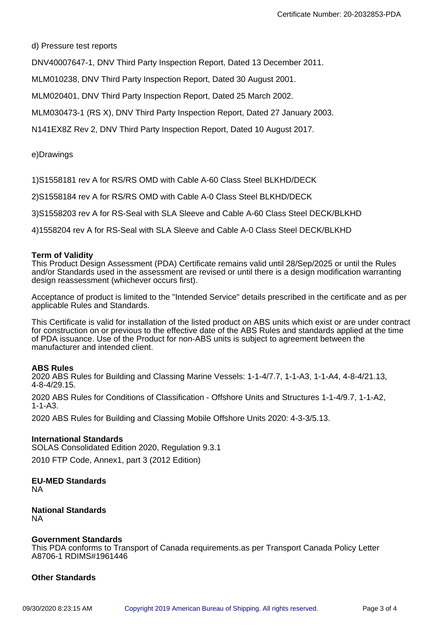d) Pressure test reports

DNV40007647-1, DNV Third Party Inspection Report, Dated 13 December 2011.

MLM010238, DNV Third Party Inspection Report, Dated 30 August 2001.

MLM020401, DNV Third Party Inspection Report, Dated 25 March 2002.

MLM030473-1 (RS X), DNV Third Party Inspection Report, Dated 27 January 2003.

N141EX8Z Rev 2, DNV Third Party Inspection Report, Dated 10 August 2017.

e)Drawings

1)S1558181 rev A for RS/RS OMD with Cable A-60 Class Steel BLKHD/DECK

2)S1558184 rev A for RS/RS OMD with Cable A-0 Class Steel BLKHD/DECK

3)S1558203 rev A for RS-Seal with SLA Sleeve and Cable A-60 Class Steel DECK/BLKHD

4)1558204 rev A for RS-Seal with SLA Sleeve and Cable A-0 Class Steel DECK/BLKHD

#### **Term of Validity**

This Product Design Assessment (PDA) Certificate remains valid until 28/Sep/2025 or until the Rules and/or Standards used in the assessment are revised or until there is a design modification warranting design reassessment (whichever occurs first).

Acceptance of product is limited to the "Intended Service" details prescribed in the certificate and as per applicable Rules and Standards.

This Certificate is valid for installation of the listed product on ABS units which exist or are under contract for construction on or previous to the effective date of the ABS Rules and standards applied at the time of PDA issuance. Use of the Product for non-ABS units is subject to agreement between the manufacturer and intended client.

#### **ABS Rules**

2020 ABS Rules for Building and Classing Marine Vessels: 1-1-4/7.7, 1-1-A3, 1-1-A4, 4-8-4/21.13, 4-8-4/29.15.

2020 ABS Rules for Conditions of Classification - Offshore Units and Structures 1-1-4/9.7, 1-1-A2, 1-1-A3.

2020 ABS Rules for Building and Classing Mobile Offshore Units 2020: 4-3-3/5.13.

#### **International Standards**

SOLAS Consolidated Edition 2020, Regulation 9.3.1 2010 FTP Code, Annex1, part 3 (2012 Edition)

# **EU-MED Standards**

NA

#### **National Standards** NA

#### **Government Standards**

This PDA conforms to Transport of Canada requirements.as per Transport Canada Policy Letter A8706-1 RDIMS#1961446

#### **Other Standards**